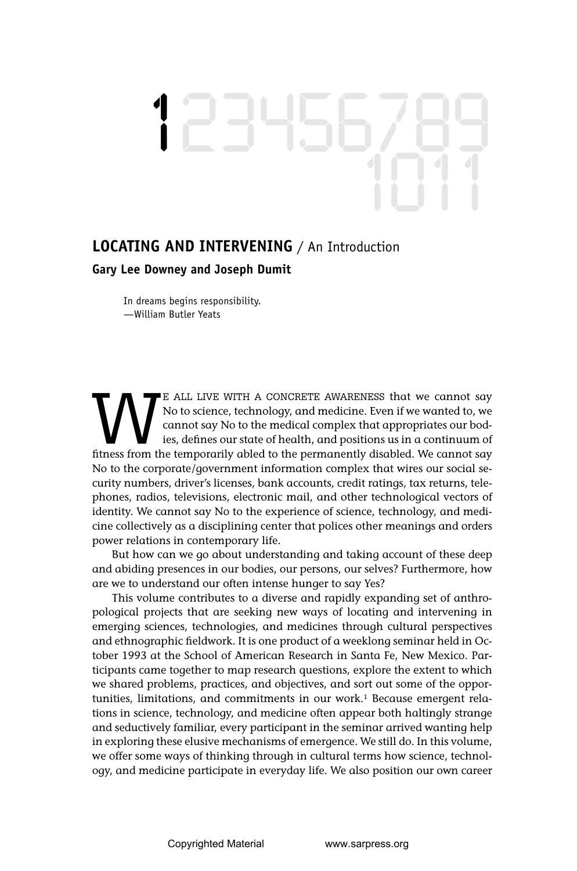# 123456789 1011

# **LOCATING AND INTERVENING** / An Introduction

## **Gary Lee Downey and Joseph Dumit**

In dreams begins responsibility. —William Butler Yeats

E ALL LIVE WITH A CONCRETE AWARENESS that we cannot say No to science, technology, and medicine. Even if we wanted to, we cannot say No to the medical complex that appropriates our bodies, defines our state of health, and positions us in a continuum of FE ALL LIVE WITH A CONCRETE AWARENESS that we cannot say No to science, technology, and medicine. Even if we wanted to, we cannot say No to the medical complex that appropriates our bodies, defines our state of health, and No to the corporate/government information complex that wires our social security numbers, driver's licenses, bank accounts, credit ratings, tax returns, telephones, radios, televisions, electronic mail, and other technological vectors of identity. We cannot say No to the experience of science, technology, and medicine collectively as a disciplining center that polices other meanings and orders power relations in contemporary life.

But how can we go about understanding and taking account of these deep and abiding presences in our bodies, our persons, our selves? Furthermore, how are we to understand our often intense hunger to say Yes?

This volume contributes to a diverse and rapidly expanding set of anthropological projects that are seeking new ways of locating and intervening in emerging sciences, technologies, and medicines through cultural perspectives and ethnographic fieldwork. It is one product of a weeklong seminar held in October 1993 at the School of American Research in Santa Fe, New Mexico. Participants came together to map research questions, explore the extent to which we shared problems, practices, and objectives, and sort out some of the opportunities, limitations, and commitments in our work.<sup>1</sup> Because emergent relations in science, technology, and medicine often appear both haltingly strange and seductively familiar, every participant in the seminar arrived wanting help in exploring these elusive mechanisms of emergence. We still do. In this volume, we offer some ways of thinking through in cultural terms how science, technology, and medicine participate in everyday life. We also position our own career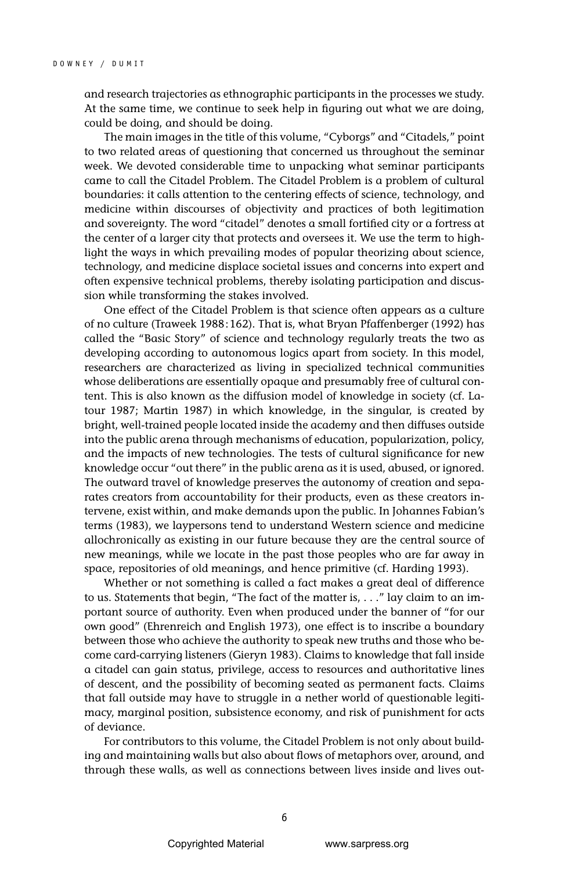and research trajectories as ethnographic participants in the processes we study. At the same time, we continue to seek help in figuring out what we are doing, could be doing, and should be doing.

The main images in the title of this volume, "Cyborgs" and "Citadels," point to two related areas of questioning that concerned us throughout the seminar week. We devoted considerable time to unpacking what seminar participants came to call the Citadel Problem. The Citadel Problem is a problem of cultural boundaries: it calls attention to the centering effects of science, technology, and medicine within discourses of objectivity and practices of both legitimation and sovereignty. The word "citadel" denotes a small fortified city or a fortress at the center of a larger city that protects and oversees it. We use the term to highlight the ways in which prevailing modes of popular theorizing about science, technology, and medicine displace societal issues and concerns into expert and often expensive technical problems, thereby isolating participation and discussion while transforming the stakes involved.

One effect of the Citadel Problem is that science often appears as a culture of no culture (Traweek 1988:162). That is, what Bryan Pfaffenberger (1992) has called the "Basic Story" of science and technology regularly treats the two as developing according to autonomous logics apart from society. In this model, researchers are characterized as living in specialized technical communities whose deliberations are essentially opaque and presumably free of cultural content. This is also known as the diffusion model of knowledge in society (cf. Latour 1987; Martin 1987) in which knowledge, in the singular, is created by bright, well-trained people located inside the academy and then diffuses outside into the public arena through mechanisms of education, popularization, policy, and the impacts of new technologies. The tests of cultural significance for new knowledge occur "out there" in the public arena as it is used, abused, or ignored. The outward travel of knowledge preserves the autonomy of creation and separates creators from accountability for their products, even as these creators intervene, exist within, and make demands upon the public. In Johannes Fabian's terms (1983), we laypersons tend to understand Western science and medicine allochronically as existing in our future because they are the central source of new meanings, while we locate in the past those peoples who are far away in space, repositories of old meanings, and hence primitive (cf. Harding 1993).

Whether or not something is called a fact makes a great deal of difference to us. Statements that begin, "The fact of the matter is, . . ." lay claim to an important source of authority. Even when produced under the banner of "for our own good" (Ehrenreich and English 1973), one effect is to inscribe a boundary between those who achieve the authority to speak new truths and those who become card-carrying listeners (Gieryn 1983). Claims to knowledge that fall inside a citadel can gain status, privilege, access to resources and authoritative lines of descent, and the possibility of becoming seated as permanent facts. Claims that fall outside may have to struggle in a nether world of questionable legitimacy, marginal position, subsistence economy, and risk of punishment for acts of deviance.

For contributors to this volume, the Citadel Problem is not only about building and maintaining walls but also about flows of metaphors over, around, and through these walls, as well as connections between lives inside and lives out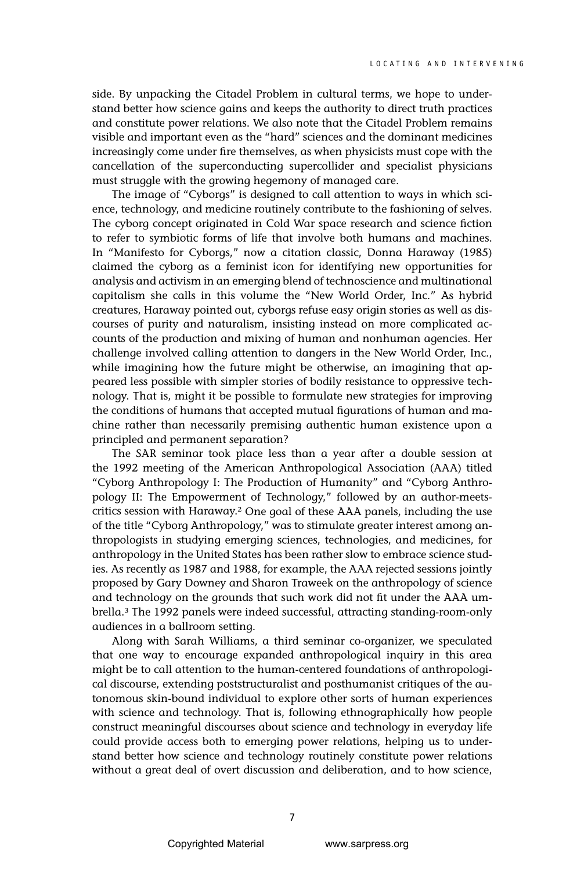side. By unpacking the Citadel Problem in cultural terms, we hope to understand better how science gains and keeps the authority to direct truth practices and constitute power relations. We also note that the Citadel Problem remains visible and important even as the "hard" sciences and the dominant medicines increasingly come under fire themselves, as when physicists must cope with the cancellation of the superconducting supercollider and specialist physicians must struggle with the growing hegemony of managed care.

The image of "Cyborgs" is designed to call attention to ways in which science, technology, and medicine routinely contribute to the fashioning of selves. The cyborg concept originated in Cold War space research and science fiction to refer to symbiotic forms of life that involve both humans and machines. In "Manifesto for Cyborgs," now a citation classic, Donna Haraway (1985) claimed the cyborg as a feminist icon for identifying new opportunities for analysis and activism in an emerging blend of technoscience and multinational capitalism she calls in this volume the "New World Order, Inc." As hybrid creatures, Haraway pointed out, cyborgs refuse easy origin stories as well as discourses of purity and naturalism, insisting instead on more complicated accounts of the production and mixing of human and nonhuman agencies. Her challenge involved calling attention to dangers in the New World Order, Inc., while imagining how the future might be otherwise, an imagining that appeared less possible with simpler stories of bodily resistance to oppressive technology. That is, might it be possible to formulate new strategies for improving the conditions of humans that accepted mutual figurations of human and machine rather than necessarily premising authentic human existence upon a principled and permanent separation?

The SAR seminar took place less than a year after a double session at the 1992 meeting of the American Anthropological Association (AAA) titled "Cyborg Anthropology I: The Production of Humanity" and "Cyborg Anthropology II: The Empowerment of Technology," followed by an author-meetscritics session with Haraway.2 One goal of these AAA panels, including the use of the title "Cyborg Anthropology," was to stimulate greater interest among anthropologists in studying emerging sciences, technologies, and medicines, for anthropology in the United States has been rather slow to embrace science studies. As recently as 1987 and 1988, for example, the AAA rejected sessions jointly proposed by Gary Downey and Sharon Traweek on the anthropology of science and technology on the grounds that such work did not fit under the AAA umbrella.3 The 1992 panels were indeed successful, attracting standing-room-only audiences in a ballroom setting.

Along with Sarah Williams, a third seminar co-organizer, we speculated that one way to encourage expanded anthropological inquiry in this area might be to call attention to the human-centered foundations of anthropological discourse, extending poststructuralist and posthumanist critiques of the autonomous skin-bound individual to explore other sorts of human experiences with science and technology. That is, following ethnographically how people construct meaningful discourses about science and technology in everyday life could provide access both to emerging power relations, helping us to understand better how science and technology routinely constitute power relations without a great deal of overt discussion and deliberation, and to how science,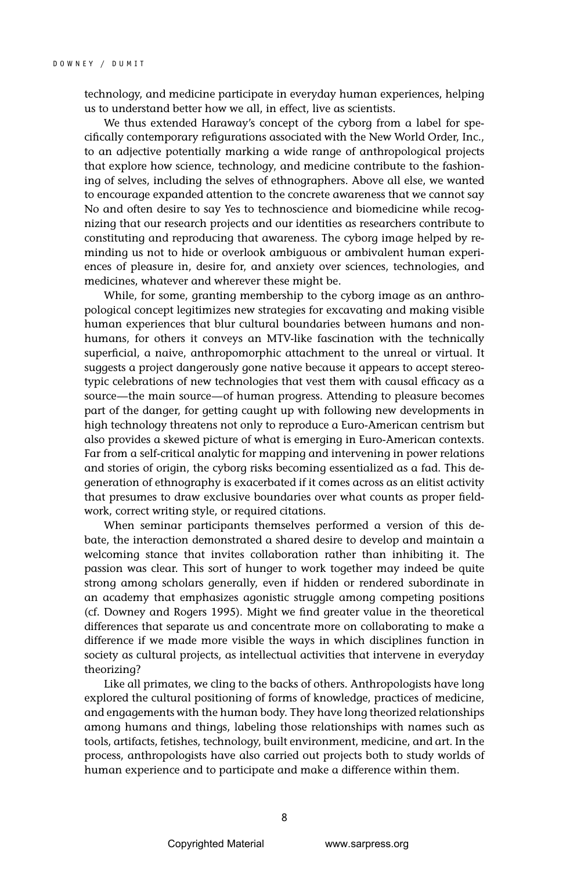technology, and medicine participate in everyday human experiences, helping us to understand better how we all, in effect, live as scientists.

We thus extended Haraway's concept of the cyborg from a label for specifically contemporary refigurations associated with the New World Order, Inc., to an adjective potentially marking a wide range of anthropological projects that explore how science, technology, and medicine contribute to the fashioning of selves, including the selves of ethnographers. Above all else, we wanted to encourage expanded attention to the concrete awareness that we cannot say No and often desire to say Yes to technoscience and biomedicine while recognizing that our research projects and our identities as researchers contribute to constituting and reproducing that awareness. The cyborg image helped by reminding us not to hide or overlook ambiguous or ambivalent human experiences of pleasure in, desire for, and anxiety over sciences, technologies, and medicines, whatever and wherever these might be.

While, for some, granting membership to the cyborg image as an anthropological concept legitimizes new strategies for excavating and making visible human experiences that blur cultural boundaries between humans and nonhumans, for others it conveys an MTV-like fascination with the technically superficial, a naive, anthropomorphic attachment to the unreal or virtual. It suggests a project dangerously gone native because it appears to accept stereotypic celebrations of new technologies that vest them with causal efficacy as a source—the main source—of human progress. Attending to pleasure becomes part of the danger, for getting caught up with following new developments in high technology threatens not only to reproduce a Euro-American centrism but also provides a skewed picture of what is emerging in Euro-American contexts. Far from a self-critical analytic for mapping and intervening in power relations and stories of origin, the cyborg risks becoming essentialized as a fad. This degeneration of ethnography is exacerbated if it comes across as an elitist activity that presumes to draw exclusive boundaries over what counts as proper fieldwork, correct writing style, or required citations.

When seminar participants themselves performed a version of this debate, the interaction demonstrated a shared desire to develop and maintain a welcoming stance that invites collaboration rather than inhibiting it. The passion was clear. This sort of hunger to work together may indeed be quite strong among scholars generally, even if hidden or rendered subordinate in an academy that emphasizes agonistic struggle among competing positions (cf. Downey and Rogers 1995). Might we find greater value in the theoretical differences that separate us and concentrate more on collaborating to make a difference if we made more visible the ways in which disciplines function in society as cultural projects, as intellectual activities that intervene in everyday theorizing?

Like all primates, we cling to the backs of others. Anthropologists have long explored the cultural positioning of forms of knowledge, practices of medicine, and engagements with the human body. They have long theorized relationships among humans and things, labeling those relationships with names such as tools, artifacts, fetishes, technology, built environment, medicine, and art. In the process, anthropologists have also carried out projects both to study worlds of human experience and to participate and make a difference within them.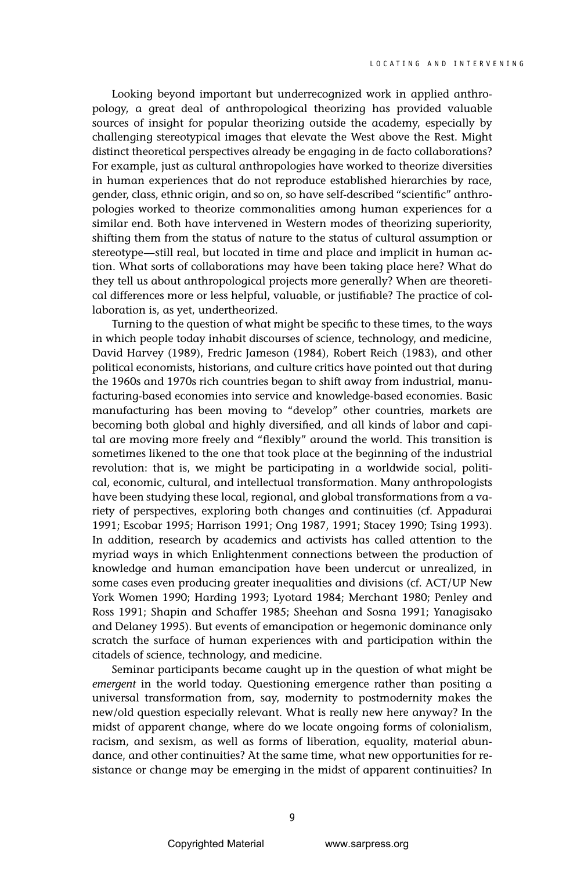Looking beyond important but underrecognized work in applied anthropology, a great deal of anthropological theorizing has provided valuable sources of insight for popular theorizing outside the academy, especially by challenging stereotypical images that elevate the West above the Rest. Might distinct theoretical perspectives already be engaging in de facto collaborations? For example, just as cultural anthropologies have worked to theorize diversities in human experiences that do not reproduce established hierarchies by race, gender, class, ethnic origin, and so on, so have self-described "scientific" anthro pologies worked to theorize commonalities among human experiences for a similar end. Both have intervened in Western modes of theorizing superiority, shifting them from the status of nature to the status of cultural assumption or stereotype—still real, but located in time and place and implicit in human action. What sorts of collaborations may have been taking place here? What do they tell us about anthropological projects more generally? When are theoretical differences more or less helpful, valuable, or justifiable? The practice of collaboration is, as yet, undertheorized.

Turning to the question of what might be specific to these times, to the ways in which people today inhabit discourses of science, technology, and medicine, David Harvey (1989), Fredric Jameson (1984), Robert Reich (1983), and other political economists, historians, and culture critics have pointed out that during the 1960s and 1970s rich countries began to shift away from industrial, manufacturing-based economies into service and knowledge-based economies. Basic manufacturing has been moving to "develop" other countries, markets are becoming both global and highly diversified, and all kinds of labor and capital are moving more freely and "flexibly" around the world. This transition is sometimes likened to the one that took place at the beginning of the industrial revolution: that is, we might be participating in a worldwide social, political, economic, cultural, and intellectual transformation. Many anthropologists have been studying these local, regional, and global transformations from a variety of perspectives, exploring both changes and continuities (cf. Appadurai 1991; Escobar 1995; Harrison 1991; Ong 1987, 1991; Stacey 1990; Tsing 1993). In addition, research by academics and activists has called attention to the myriad ways in which Enlightenment connections between the production of knowledge and human emancipation have been undercut or unrealized, in some cases even producing greater inequalities and divisions (cf. ACT/UP New York Women 1990; Harding 1993; Lyotard 1984; Merchant 1980; Penley and Ross 1991; Shapin and Schaffer 1985; Sheehan and Sosna 1991; Yanagisako and Delaney 1995). But events of emancipation or hegemonic dominance only scratch the surface of human experiences with and participation within the citadels of science, technology, and medicine.

Seminar participants became caught up in the question of what might be *emergent* in the world today. Questioning emergence rather than positing a universal transformation from, say, modernity to postmodernity makes the new/old question especially relevant. What is really new here anyway? In the midst of apparent change, where do we locate ongoing forms of colonialism, racism, and sexism, as well as forms of liberation, equality, material abundance, and other continuities? At the same time, what new opportunities for resistance or change may be emerging in the midst of apparent continuities? In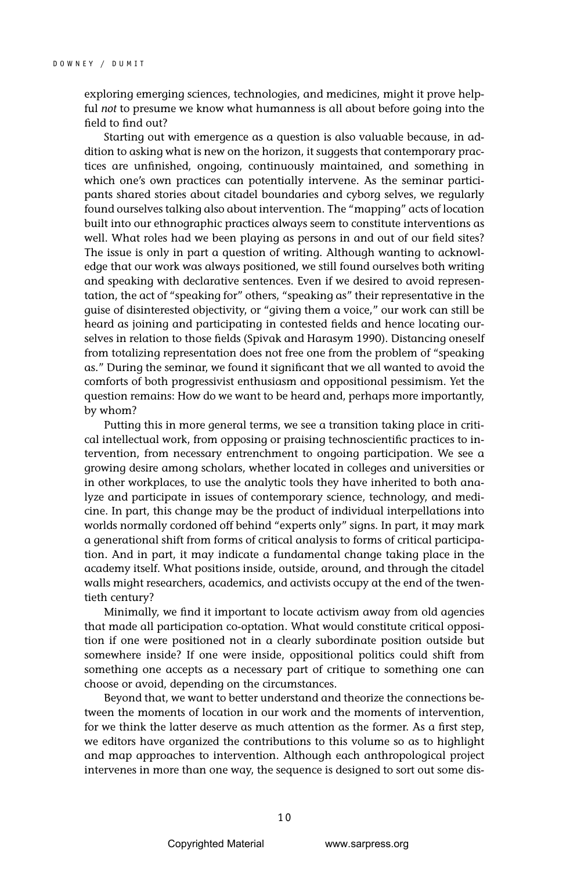exploring emerging sciences, technologies, and medicines, might it prove helpful *not* to presume we know what humanness is all about before going into the field to find out?

Starting out with emergence as a question is also valuable because, in addition to asking what is new on the horizon, it suggests that contemporary practices are unfinished, ongoing, continuously maintained, and something in which one's own practices can potentially intervene. As the seminar participants shared stories about citadel boundaries and cyborg selves, we regularly found ourselves talking also about intervention. The "mapping" acts of location built into our ethnographic practices always seem to constitute interventions as well. What roles had we been playing as persons in and out of our field sites? The issue is only in part a question of writing. Although wanting to acknowledge that our work was always positioned, we still found ourselves both writing and speaking with declarative sentences. Even if we desired to avoid representation, the act of "speaking for" others, "speaking as" their representative in the guise of disinterested objectivity, or "giving them a voice," our work can still be heard as joining and participating in contested fields and hence locating ourselves in relation to those fields (Spivak and Harasym 1990). Distancing oneself from totalizing representation does not free one from the problem of "speaking as." During the seminar, we found it significant that we all wanted to avoid the comforts of both progressivist enthusiasm and oppositional pessimism. Yet the question remains: How do we want to be heard and, perhaps more importantly, by whom?

Putting this in more general terms, we see a transition taking place in critical intellectual work, from opposing or praising technoscientific practices to intervention, from necessary entrenchment to ongoing participation. We see a growing desire among scholars, whether located in colleges and universities or in other workplaces, to use the analytic tools they have inherited to both analyze and participate in issues of contemporary science, technology, and medicine. In part, this change may be the product of individual interpellations into worlds normally cordoned off behind "experts only" signs. In part, it may mark a generational shift from forms of critical analysis to forms of critical participation. And in part, it may indicate a fundamental change taking place in the academy itself. What positions inside, outside, around, and through the citadel walls might researchers, academics, and activists occupy at the end of the twentieth century?

Minimally, we find it important to locate activism away from old agencies that made all participation co-optation. What would constitute critical opposition if one were positioned not in a clearly subordinate position outside but somewhere inside? If one were inside, oppositional politics could shift from something one accepts as a necessary part of critique to something one can choose or avoid, depending on the circumstances.

Beyond that, we want to better understand and theorize the connections between the moments of location in our work and the moments of intervention, for we think the latter deserve as much attention as the former. As a first step, we editors have organized the contributions to this volume so as to highlight and map approaches to intervention. Although each anthropological project intervenes in more than one way, the sequence is designed to sort out some dis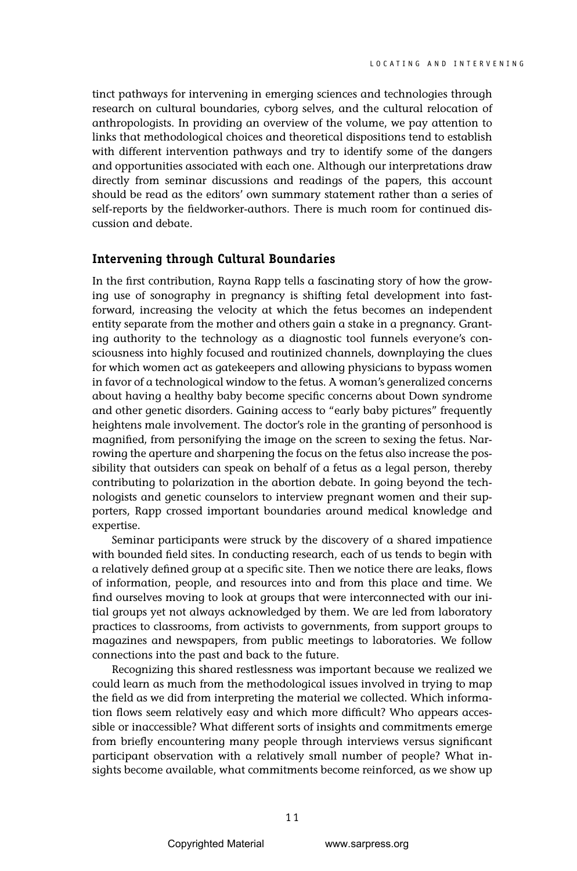tinct pathways for intervening in emerging sciences and technologies through research on cultural boundaries, cyborg selves, and the cultural relocation of anthropologists. In providing an overview of the volume, we pay attention to links that methodological choices and theoretical dispositions tend to establish with different intervention pathways and try to identify some of the dangers and opportunities associated with each one. Although our interpretations draw directly from seminar discussions and readings of the papers, this account should be read as the editors' own summary statement rather than a series of self-reports by the fieldworker-authors. There is much room for continued discussion and debate.

#### **Intervening through Cultural Boundaries**

In the first contribution, Rayna Rapp tells a fascinating story of how the growing use of sonography in pregnancy is shifting fetal development into fastforward, increasing the velocity at which the fetus becomes an independent entity separate from the mother and others gain a stake in a pregnancy. Granting authority to the technology as a diagnostic tool funnels everyone's consciousness into highly focused and routinized channels, downplaying the clues for which women act as gatekeepers and allowing physicians to bypass women in favor of a technological window to the fetus. A woman's generalized concerns about having a healthy baby become specific concerns about Down syndrome and other genetic disorders. Gaining access to "early baby pictures" frequently heightens male involvement. The doctor's role in the granting of personhood is magnified, from personifying the image on the screen to sexing the fetus. Narrowing the aperture and sharpening the focus on the fetus also increase the possibility that outsiders can speak on behalf of a fetus as a legal person, thereby contributing to polarization in the abortion debate. In going beyond the technologists and genetic counselors to interview pregnant women and their supporters, Rapp crossed important boundaries around medical knowledge and expertise.

Seminar participants were struck by the discovery of a shared impatience with bounded field sites. In conducting research, each of us tends to begin with a relatively defined group at a specific site. Then we notice there are leaks, flows of information, people, and resources into and from this place and time. We find ourselves moving to look at groups that were interconnected with our initial groups yet not always acknowledged by them. We are led from laboratory practices to classrooms, from activists to governments, from support groups to magazines and newspapers, from public meetings to laboratories. We follow connections into the past and back to the future.

Recognizing this shared restlessness was important because we realized we could learn as much from the methodological issues involved in trying to map the field as we did from interpreting the material we collected. Which information flows seem relatively easy and which more difficult? Who appears accessible or inaccessible? What different sorts of insights and commitments emerge from briefly encountering many people through interviews versus significant participant observation with a relatively small number of people? What insights become available, what commitments become reinforced, as we show up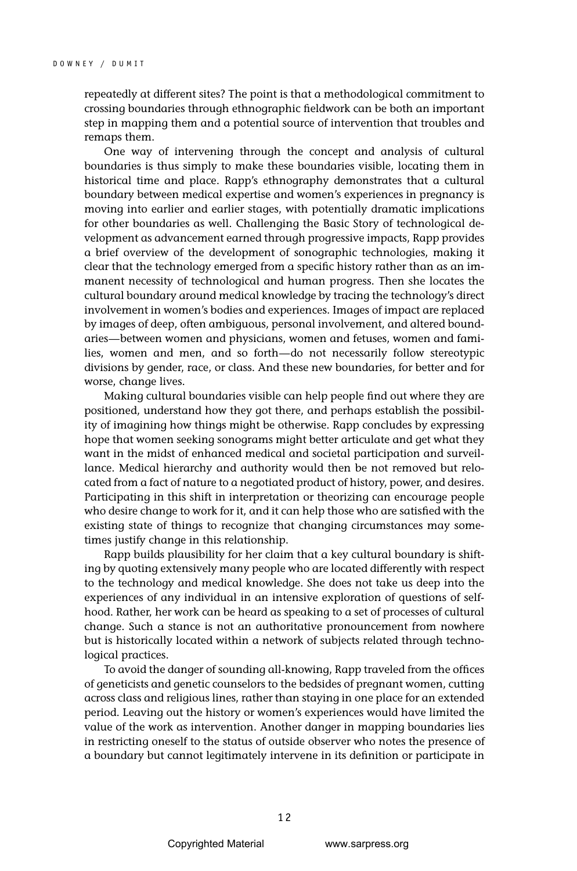repeatedly at different sites? The point is that a methodological commitment to crossing boundaries through ethnographic fieldwork can be both an important step in mapping them and a potential source of intervention that troubles and remaps them.

One way of intervening through the concept and analysis of cultural boundaries is thus simply to make these boundaries visible, locating them in historical time and place. Rapp's ethnography demonstrates that a cultural boundary between medical expertise and women's experiences in pregnancy is moving into earlier and earlier stages, with potentially dramatic implications for other boundaries as well. Challenging the Basic Story of technological development as advancement earned through progressive impacts, Rapp provides a brief overview of the development of sonographic technologies, making it clear that the technology emerged from a specific history rather than as an immanent necessity of technological and human progress. Then she locates the cultural boundary around medical knowledge by tracing the technology's direct involvement in women's bodies and experiences. Images of impact are replaced by images of deep, often ambiguous, personal involvement, and altered boundaries—between women and physicians, women and fetuses, women and families, women and men, and so forth—do not necessarily follow stereotypic divisions by gender, race, or class. And these new boundaries, for better and for worse, change lives.

Making cultural boundaries visible can help people find out where they are positioned, understand how they got there, and perhaps establish the possibility of imagining how things might be otherwise. Rapp concludes by expressing hope that women seeking sonograms might better articulate and get what they want in the midst of enhanced medical and societal participation and surveillance. Medical hierarchy and authority would then be not removed but relocated from a fact of nature to a negotiated product of history, power, and desires. Participating in this shift in interpretation or theorizing can encourage people who desire change to work for it, and it can help those who are satisfied with the existing state of things to recognize that changing circumstances may sometimes justify change in this relationship.

Rapp builds plausibility for her claim that a key cultural boundary is shifting by quoting extensively many people who are located differently with respect to the technology and medical knowledge. She does not take us deep into the experiences of any individual in an intensive exploration of questions of selfhood. Rather, her work can be heard as speaking to a set of processes of cultural change. Such a stance is not an authoritative pronouncement from nowhere but is historically located within a network of subjects related through technological practices.

To avoid the danger of sounding all-knowing, Rapp traveled from the offices of geneticists and genetic counselors to the bedsides of pregnant women, cutting across class and religious lines, rather than staying in one place for an extended period. Leaving out the history or women's experiences would have limited the value of the work as intervention. Another danger in mapping boundaries lies in restricting oneself to the status of outside observer who notes the presence of a boundary but cannot legitimately intervene in its definition or participate in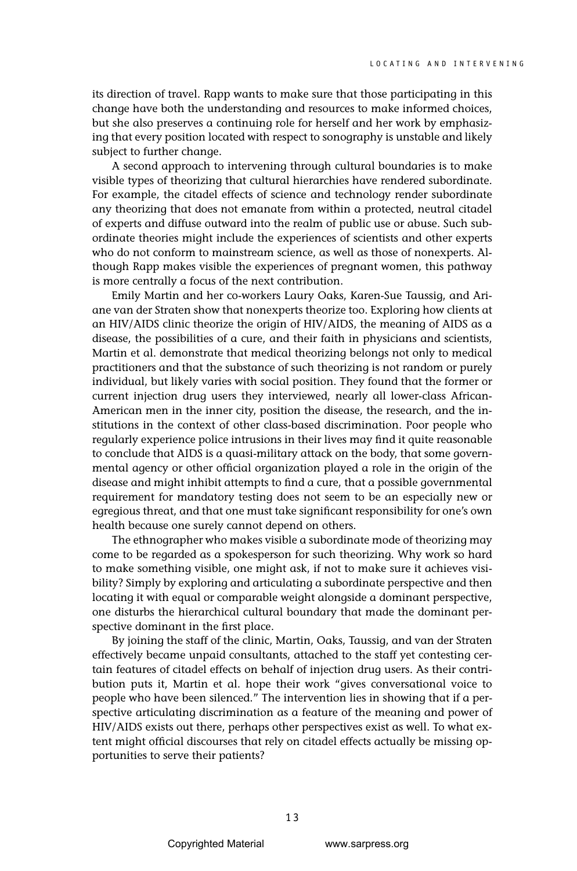its direction of travel. Rapp wants to make sure that those participating in this change have both the understanding and resources to make informed choices, but she also preserves a continuing role for herself and her work by emphasizing that every position located with respect to sonography is unstable and likely subject to further change.

A second approach to intervening through cultural boundaries is to make visible types of theorizing that cultural hierarchies have rendered subordinate. For example, the citadel effects of science and technology render subordinate any theorizing that does not emanate from within a protected, neutral citadel of experts and diffuse outward into the realm of public use or abuse. Such subordinate theories might include the experiences of scientists and other experts who do not conform to mainstream science, as well as those of nonexperts. Although Rapp makes visible the experiences of pregnant women, this pathway is more centrally a focus of the next contribution.

Emily Martin and her co-workers Laury Oaks, Karen-Sue Taussig, and Ariane van der Straten show that nonexperts theorize too. Exploring how clients at an HIV/AIDS clinic theorize the origin of HIV/AIDS, the meaning of AIDS as a disease, the possibilities of a cure, and their faith in physicians and scientists, Martin et al. demonstrate that medical theorizing belongs not only to medical practitioners and that the substance of such theorizing is not random or purely individual, but likely varies with social position. They found that the former or current injection drug users they interviewed, nearly all lower-class African-American men in the inner city, position the disease, the research, and the institutions in the context of other class-based discrimination. Poor people who regularly experience police intrusions in their lives may find it quite reasonable to conclude that AIDS is a quasi-military attack on the body, that some governmental agency or other official organization played a role in the origin of the disease and might inhibit attempts to find a cure, that a possible governmental requirement for mandatory testing does not seem to be an especially new or egregious threat, and that one must take significant responsibility for one's own health because one surely cannot depend on others.

The ethnographer who makes visible a subordinate mode of theorizing may come to be regarded as a spokesperson for such theorizing. Why work so hard to make something visible, one might ask, if not to make sure it achieves visibility? Simply by exploring and articulating a subordinate perspective and then locating it with equal or comparable weight alongside a dominant perspective, one disturbs the hierarchical cultural boundary that made the dominant perspective dominant in the first place.

By joining the staff of the clinic, Martin, Oaks, Taussig, and van der Straten effectively became unpaid consultants, attached to the staff yet contesting certain features of citadel effects on behalf of injection drug users. As their contribution puts it, Martin et al. hope their work "gives conversational voice to people who have been silenced." The intervention lies in showing that if a perspective articulating discrimination as a feature of the meaning and power of HIV/AIDS exists out there, perhaps other perspectives exist as well. To what extent might official discourses that rely on citadel effects actually be missing opportunities to serve their patients?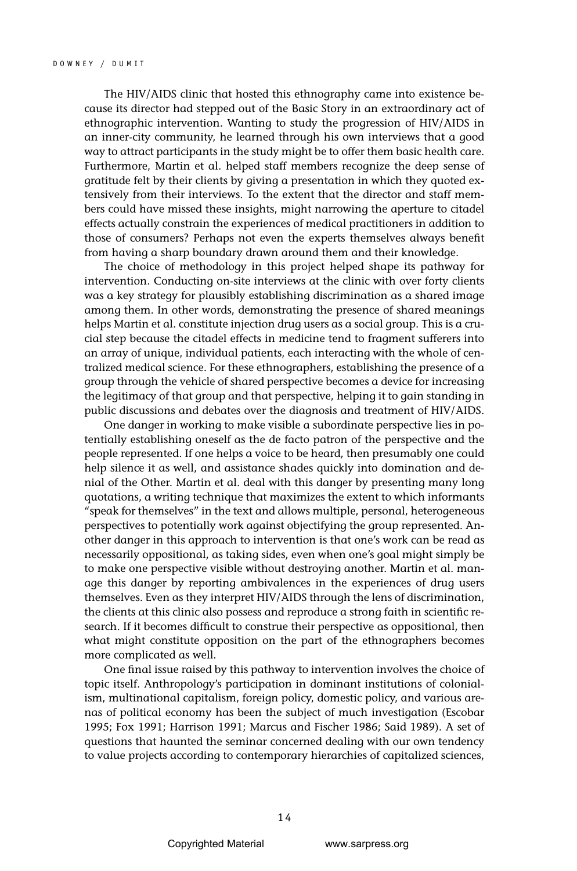The HIV/AIDS clinic that hosted this ethnography came into existence because its director had stepped out of the Basic Story in an extraordinary act of ethnographic intervention. Wanting to study the progression of HIV/AIDS in an inner-city community, he learned through his own interviews that a good way to attract participants in the study might be to offer them basic health care. Furthermore, Martin et al. helped staff members recognize the deep sense of gratitude felt by their clients by giving a presentation in which they quoted extensively from their interviews. To the extent that the director and staff members could have missed these insights, might narrowing the aperture to citadel effects actually constrain the experiences of medical practitioners in addition to those of consumers? Perhaps not even the experts themselves always benefit from having a sharp boundary drawn around them and their knowledge.

The choice of methodology in this project helped shape its pathway for intervention. Conducting on-site interviews at the clinic with over forty clients was a key strategy for plausibly establishing discrimination as a shared image among them. In other words, demonstrating the presence of shared meanings helps Martin et al. constitute injection drug users as a social group. This is a crucial step because the citadel effects in medicine tend to fragment sufferers into an array of unique, individual patients, each interacting with the whole of centralized medical science. For these ethnographers, establishing the presence of a group through the vehicle of shared perspective becomes a device for increasing the legitimacy of that group and that perspective, helping it to gain standing in public discussions and debates over the diagnosis and treatment of HIV/AIDS.

One danger in working to make visible a subordinate perspective lies in potentially establishing oneself as the de facto patron of the perspective and the people represented. If one helps a voice to be heard, then presumably one could help silence it as well, and assistance shades quickly into domination and denial of the Other. Martin et al. deal with this danger by presenting many long quotations, a writing technique that maximizes the extent to which informants "speak for themselves" in the text and allows multiple, personal, heterogeneous perspectives to potentially work against objectifying the group represented. Another danger in this approach to intervention is that one's work can be read as necessarily oppositional, as taking sides, even when one's goal might simply be to make one perspective visible without destroying another. Martin et al. manage this danger by reporting ambivalences in the experiences of drug users themselves. Even as they interpret HIV/AIDS through the lens of discrimination, the clients at this clinic also possess and reproduce a strong faith in scientific research. If it becomes difficult to construe their perspective as oppositional, then what might constitute opposition on the part of the ethnographers becomes more complicated as well.

One final issue raised by this pathway to intervention involves the choice of topic itself. Anthropology's participation in dominant institutions of colonialism, multinational capitalism, foreign policy, domestic policy, and various arenas of political economy has been the subject of much investigation (Escobar 1995; Fox 1991; Harrison 1991; Marcus and Fischer 1986; Said 1989). A set of questions that haunted the seminar concerned dealing with our own tendency to value projects according to contemporary hierarchies of capitalized sciences,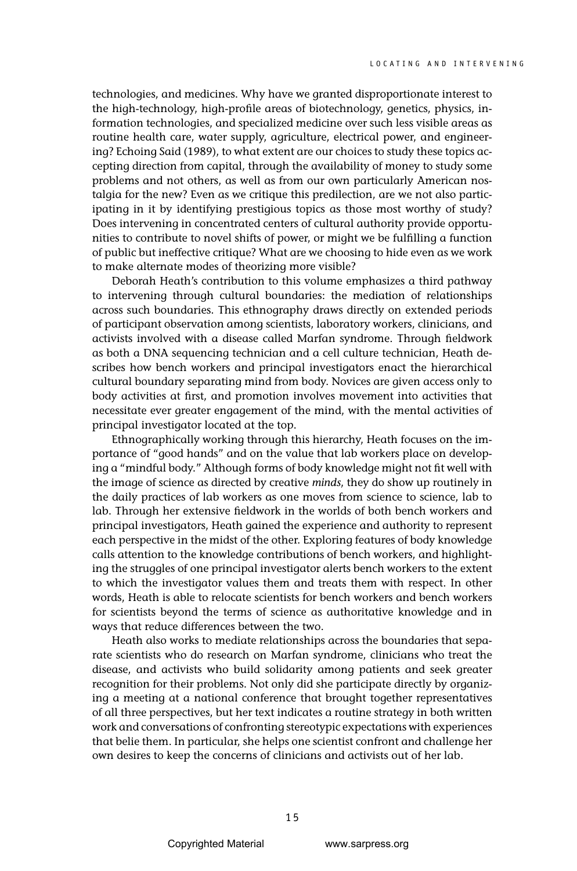technologies, and medicines. Why have we granted disproportionate interest to the high-technology, high-profile areas of biotechnology, genetics, physics, information technologies, and specialized medicine over such less visible areas as routine health care, water supply, agriculture, electrical power, and engineering? Echoing Said (1989), to what extent are our choices to study these topics accepting direction from capital, through the availability of money to study some problems and not others, as well as from our own particularly American nostalgia for the new? Even as we critique this predilection, are we not also participating in it by identifying prestigious topics as those most worthy of study? Does intervening in concentrated centers of cultural authority provide opportunities to contribute to novel shifts of power, or might we be fulfilling a function of public but ineffective critique? What are we choosing to hide even as we work to make alternate modes of theorizing more visible?

Deborah Heath's contribution to this volume emphasizes a third pathway to intervening through cultural boundaries: the mediation of relationships across such boundaries. This ethnography draws directly on extended periods of participant observation among scientists, laboratory workers, clinicians, and activists involved with a disease called Marfan syndrome. Through fieldwork as both a DNA sequencing technician and a cell culture technician, Heath describes how bench workers and principal investigators enact the hierarchical cultural boundary separating mind from body. Novices are given access only to body activities at first, and promotion involves movement into activities that necessitate ever greater engagement of the mind, with the mental activities of principal investigator located at the top.

Ethnographically working through this hierarchy, Heath focuses on the importance of "good hands" and on the value that lab workers place on developing a "mindful body." Although forms of body knowledge might not fit well with the image of science as directed by creative *minds*, they do show up routinely in the daily practices of lab workers as one moves from science to science, lab to lab. Through her extensive fieldwork in the worlds of both bench workers and principal investigators, Heath gained the experience and authority to represent each perspective in the midst of the other. Exploring features of body knowledge calls attention to the knowledge contributions of bench workers, and highlighting the struggles of one principal investigator alerts bench workers to the extent to which the investigator values them and treats them with respect. In other words, Heath is able to relocate scientists for bench workers and bench workers for scientists beyond the terms of science as authoritative knowledge and in ways that reduce differences between the two.

Heath also works to mediate relationships across the boundaries that separate scientists who do research on Marfan syndrome, clinicians who treat the disease, and activists who build solidarity among patients and seek greater recognition for their problems. Not only did she participate directly by organizing a meeting at a national conference that brought together representatives of all three perspectives, but her text indicates a routine strategy in both written work and conversations of confronting stereotypic expectations with experiences that belie them. In particular, she helps one scientist confront and challenge her own desires to keep the concerns of clinicians and activists out of her lab.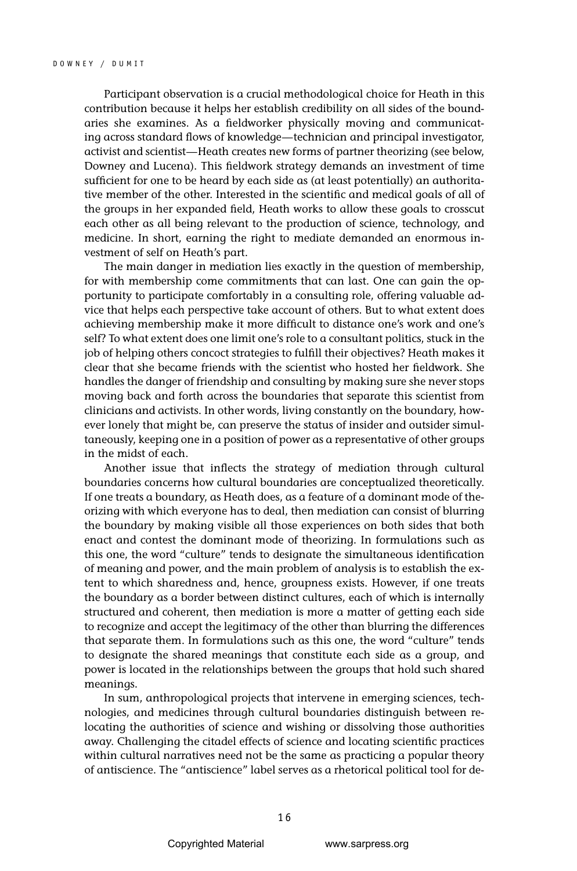Participant observation is a crucial methodological choice for Heath in this contribution because it helps her establish credibility on all sides of the boundaries she examines. As a fieldworker physically moving and communicating across standard flows of knowledge—technician and principal investigator, activist and scientist—Heath creates new forms of partner theorizing (see below, Downey and Lucena). This fieldwork strategy demands an investment of time sufficient for one to be heard by each side as (at least potentially) an authoritative member of the other. Interested in the scientific and medical goals of all of the groups in her expanded field, Heath works to allow these goals to crosscut each other as all being relevant to the production of science, technology, and medicine. In short, earning the right to mediate demanded an enormous investment of self on Heath's part.

The main danger in mediation lies exactly in the question of membership, for with membership come commitments that can last. One can gain the opportunity to participate comfortably in a consulting role, offering valuable advice that helps each perspective take account of others. But to what extent does achieving membership make it more difficult to distance one's work and one's self? To what extent does one limit one's role to a consultant politics, stuck in the job of helping others concoct strategies to fulfill their objectives? Heath makes it clear that she became friends with the scientist who hosted her fieldwork. She handles the danger of friendship and consulting by making sure she never stops moving back and forth across the boundaries that separate this scientist from clinicians and activists. In other words, living constantly on the boundary, however lonely that might be, can preserve the status of insider and outsider simultaneously, keeping one in a position of power as a representative of other groups in the midst of each.

Another issue that inflects the strategy of mediation through cultural boundaries concerns how cultural boundaries are conceptualized theoretically. If one treats a boundary, as Heath does, as a feature of a dominant mode of theorizing with which everyone has to deal, then mediation can consist of blurring the boundary by making visible all those experiences on both sides that both enact and contest the dominant mode of theorizing. In formulations such as this one, the word "culture" tends to designate the simultaneous identification of meaning and power, and the main problem of analysis is to establish the extent to which sharedness and, hence, groupness exists. However, if one treats the boundary as a border between distinct cultures, each of which is internally structured and coherent, then mediation is more a matter of getting each side to recognize and accept the legitimacy of the other than blurring the differences that separate them. In formulations such as this one, the word "culture" tends to designate the shared meanings that constitute each side as a group, and power is located in the relationships between the groups that hold such shared meanings.

In sum, anthropological projects that intervene in emerging sciences, technologies, and medicines through cultural boundaries distinguish between relocating the authorities of science and wishing or dissolving those authorities away. Challenging the citadel effects of science and locating scientific practices within cultural narratives need not be the same as practicing a popular theory of antiscience. The "antiscience" label serves as a rhetorical political tool for de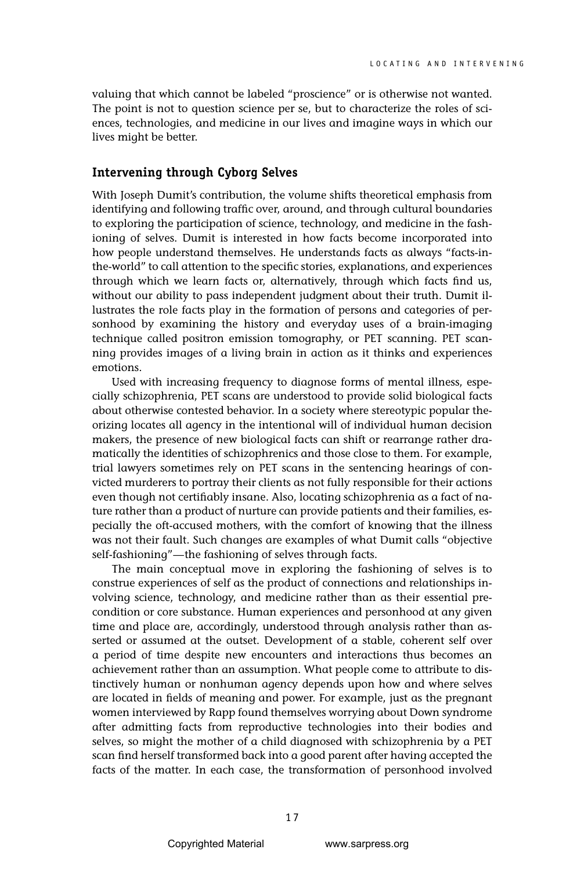valuing that which cannot be labeled "proscience" or is otherwise not wanted. The point is not to question science per se, but to characterize the roles of sciences, technologies, and medicine in our lives and imagine ways in which our lives might be better.

#### **Intervening through Cyborg Selves**

With Joseph Dumit's contribution, the volume shifts theoretical emphasis from identifying and following traffic over, around, and through cultural boundaries to exploring the participation of science, technology, and medicine in the fashioning of selves. Dumit is interested in how facts become incorporated into how people understand themselves. He understands facts as always "facts-inthe-world" to call attention to the specific stories, explanations, and experiences through which we learn facts or, alternatively, through which facts find us, without our ability to pass independent judgment about their truth. Dumit illustrates the role facts play in the formation of persons and categories of personhood by examining the history and everyday uses of a brain-imaging technique called positron emission tomography, or PET scanning. PET scanning provides images of a living brain in action as it thinks and experiences emotions.

Used with increasing frequency to diagnose forms of mental illness, especially schizophrenia, PET scans are understood to provide solid biological facts about otherwise contested behavior. In a society where stereotypic popular theorizing locates all agency in the intentional will of individual human decision makers, the presence of new biological facts can shift or rearrange rather dramatically the identities of schizophrenics and those close to them. For example, trial lawyers sometimes rely on PET scans in the sentencing hearings of convicted murderers to portray their clients as not fully responsible for their actions even though not certifiably insane. Also, locating schizophrenia as a fact of nature rather than a product of nurture can provide patients and their families, especially the oft-accused mothers, with the comfort of knowing that the illness was not their fault. Such changes are examples of what Dumit calls "objective self-fashioning"—the fashioning of selves through facts.

The main conceptual move in exploring the fashioning of selves is to construe experiences of self as the product of connections and relationships involving science, technology, and medicine rather than as their essential precondition or core substance. Human experiences and personhood at any given time and place are, accordingly, understood through analysis rather than asserted or assumed at the outset. Development of a stable, coherent self over a period of time despite new encounters and interactions thus becomes an achievement rather than an assumption. What people come to attribute to distinctively human or nonhuman agency depends upon how and where selves are located in fields of meaning and power. For example, just as the pregnant women interviewed by Rapp found themselves worrying about Down syndrome after admitting facts from reproductive technologies into their bodies and selves, so might the mother of a child diagnosed with schizophrenia by a PET scan find herself transformed back into a good parent after having accepted the facts of the matter. In each case, the transformation of personhood involved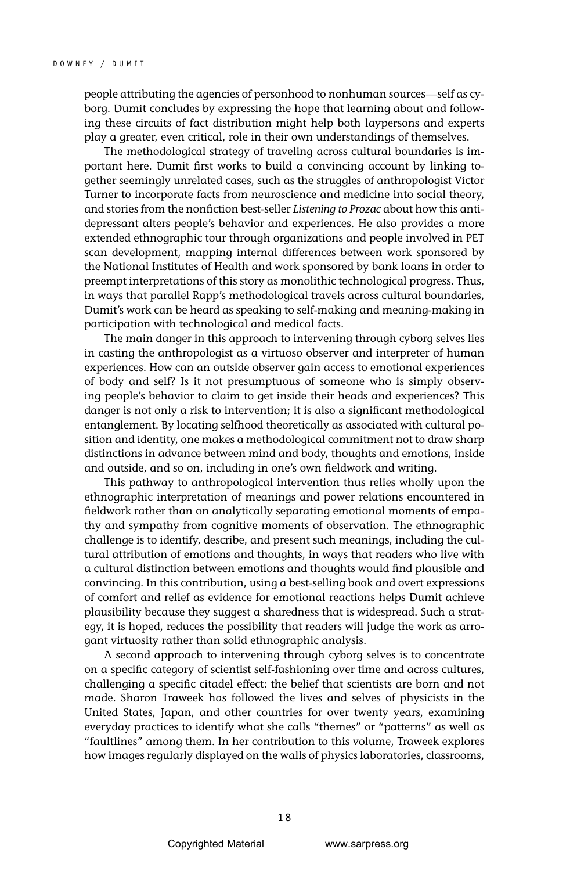people attributing the agencies of personhood to nonhuman sources—self as cyborg. Dumit concludes by expressing the hope that learning about and following these circuits of fact distribution might help both laypersons and experts play a greater, even critical, role in their own understandings of themselves.

The methodological strategy of traveling across cultural boundaries is important here. Dumit first works to build a convincing account by linking together seemingly unrelated cases, such as the struggles of anthropologist Victor Turner to incorporate facts from neuroscience and medicine into social theory, and stories from the nonfiction best-seller *Listening to Prozac* about how this anti depressant alters people's behavior and experiences. He also provides a more extended ethnographic tour through organizations and people involved in PET scan development, mapping internal differences between work sponsored by the National Institutes of Health and work sponsored by bank loans in order to preempt interpretations of this story as monolithic technological progress. Thus, in ways that parallel Rapp's methodological travels across cultural boundaries, Dumit's work can be heard as speaking to self-making and meaning-making in participation with technological and medical facts.

The main danger in this approach to intervening through cyborg selves lies in casting the anthropologist as a virtuoso observer and interpreter of human experiences. How can an outside observer gain access to emotional experiences of body and self? Is it not presumptuous of someone who is simply observing people's behavior to claim to get inside their heads and experiences? This danger is not only a risk to intervention; it is also a significant methodological entanglement. By locating selfhood theoretically as associated with cultural position and identity, one makes a methodological commitment not to draw sharp distinctions in advance between mind and body, thoughts and emotions, inside and outside, and so on, including in one's own fieldwork and writing.

This pathway to anthropological intervention thus relies wholly upon the ethnographic interpretation of meanings and power relations encountered in fieldwork rather than on analytically separating emotional moments of empathy and sympathy from cognitive moments of observation. The ethnographic challenge is to identify, describe, and present such meanings, including the cultural attribution of emotions and thoughts, in ways that readers who live with a cultural distinction between emotions and thoughts would find plausible and convincing. In this contribution, using a best-selling book and overt expressions of comfort and relief as evidence for emotional reactions helps Dumit achieve plausibility because they suggest a sharedness that is widespread. Such a strategy, it is hoped, reduces the possibility that readers will judge the work as arrogant virtuosity rather than solid ethnographic analysis.

A second approach to intervening through cyborg selves is to concentrate on a specific category of scientist self-fashioning over time and across cultures, challenging a specific citadel effect: the belief that scientists are born and not made. Sharon Traweek has followed the lives and selves of physicists in the United States, Japan, and other countries for over twenty years, examining everyday practices to identify what she calls "themes" or "patterns" as well as "faultlines" among them. In her contribution to this volume, Traweek explores how images regularly displayed on the walls of physics laboratories, classrooms,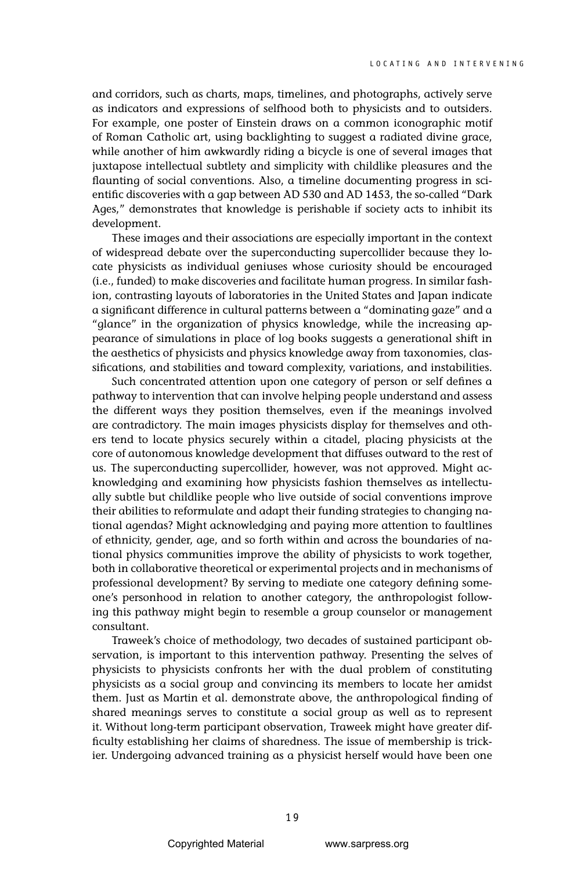and corridors, such as charts, maps, timelines, and photographs, actively serve as indicators and expressions of selfhood both to physicists and to outsiders. For example, one poster of Einstein draws on a common iconographic motif of Roman Catholic art, using backlighting to suggest a radiated divine grace, while another of him awkwardly riding a bicycle is one of several images that juxtapose intellectual subtlety and simplicity with childlike pleasures and the flaunting of social conventions. Also, a timeline documenting progress in scientific discoveries with a gap between AD 530 and AD 1453, the so-called "Dark Ages," demonstrates that knowledge is perishable if society acts to inhibit its development.

These images and their associations are especially important in the context of widespread debate over the superconducting supercollider because they locate physicists as individual geniuses whose curiosity should be encouraged (i.e., funded) to make discoveries and facilitate human progress. In similar fashion, contrasting layouts of laboratories in the United States and Japan indicate a significant difference in cultural patterns between a "dominating gaze" and a "glance" in the organization of physics knowledge, while the increasing appearance of simulations in place of log books suggests a generational shift in the aesthetics of physicists and physics knowledge away from taxonomies, clas sifications, and stabilities and toward complexity, variations, and instabilities.

Such concentrated attention upon one category of person or self defines a pathway to intervention that can involve helping people understand and assess the different ways they position themselves, even if the meanings involved are contradictory. The main images physicists display for themselves and others tend to locate physics securely within a citadel, placing physicists at the core of autonomous knowledge development that diffuses outward to the rest of us. The superconducting supercollider, however, was not approved. Might acknowledging and examining how physicists fashion themselves as intellectually subtle but childlike people who live outside of social conventions improve their abilities to reformulate and adapt their funding strategies to changing national agendas? Might acknowledging and paying more attention to faultlines of ethnicity, gender, age, and so forth within and across the boundaries of national physics communities improve the ability of physicists to work together, both in collaborative theoretical or experimental projects and in mechanisms of professional development? By serving to mediate one category defining someone's personhood in relation to another category, the anthropologist following this pathway might begin to resemble a group counselor or management consultant.

Traweek's choice of methodology, two decades of sustained participant observation, is important to this intervention pathway. Presenting the selves of physicists to physicists confronts her with the dual problem of constituting physicists as a social group and convincing its members to locate her amidst them. Just as Martin et al. demonstrate above, the anthropological finding of shared meanings serves to constitute a social group as well as to represent it. Without long-term participant observation, Traweek might have greater difficulty establishing her claims of sharedness. The issue of membership is trickier. Undergoing advanced training as a physicist herself would have been one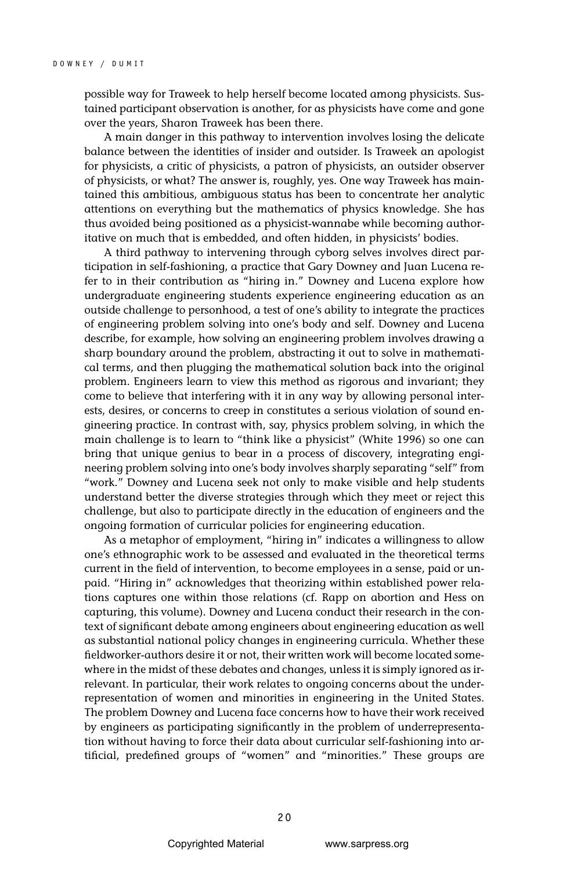possible way for Traweek to help herself become located among physicists. Sustained participant observation is another, for as physicists have come and gone over the years, Sharon Traweek has been there.

A main danger in this pathway to intervention involves losing the delicate balance between the identities of insider and outsider. Is Traweek an apologist for physicists, a critic of physicists, a patron of physicists, an outsider observer of physicists, or what? The answer is, roughly, yes. One way Traweek has maintained this ambitious, ambiguous status has been to concentrate her analytic attentions on everything but the mathematics of physics knowledge. She has thus avoided being positioned as a physicist-wannabe while becoming authoritative on much that is embedded, and often hidden, in physicists' bodies.

A third pathway to intervening through cyborg selves involves direct participation in self-fashioning, a practice that Gary Downey and Juan Lucena refer to in their contribution as "hiring in." Downey and Lucena explore how undergraduate engineering students experience engineering education as an outside challenge to personhood, a test of one's ability to integrate the practices of engineering problem solving into one's body and self. Downey and Lucena describe, for example, how solving an engineering problem involves drawing a sharp boundary around the problem, abstracting it out to solve in mathematical terms, and then plugging the mathematical solution back into the original problem. Engineers learn to view this method as rigorous and invariant; they come to believe that interfering with it in any way by allowing personal interests, desires, or concerns to creep in constitutes a serious violation of sound engineering practice. In contrast with, say, physics problem solving, in which the main challenge is to learn to "think like a physicist" (White 1996) so one can bring that unique genius to bear in a process of discovery, integrating engineering problem solving into one's body involves sharply separating "self" from "work." Downey and Lucena seek not only to make visible and help students understand better the diverse strategies through which they meet or reject this challenge, but also to participate directly in the education of engineers and the ongoing formation of curricular policies for engineering education.

As a metaphor of employment, "hiring in" indicates a willingness to allow one's ethnographic work to be assessed and evaluated in the theoretical terms current in the field of intervention, to become employees in a sense, paid or unpaid. "Hiring in" acknowledges that theorizing within established power relations captures one within those relations (cf. Rapp on abortion and Hess on capturing, this volume). Downey and Lucena conduct their research in the context of significant debate among engineers about engineering education as well as substantial national policy changes in engineering curricula. Whether these fieldworker-authors desire it or not, their written work will become located somewhere in the midst of these debates and changes, unless it is simply ignored as ir relevant. In particular, their work relates to ongoing concerns about the underrepresentation of women and minorities in engineering in the United States. The problem Downey and Lucena face concerns how to have their work received by engineers as participating significantly in the problem of underrepresentation without having to force their data about curricular self-fashioning into artificial, predefined groups of "women" and "minorities." These groups are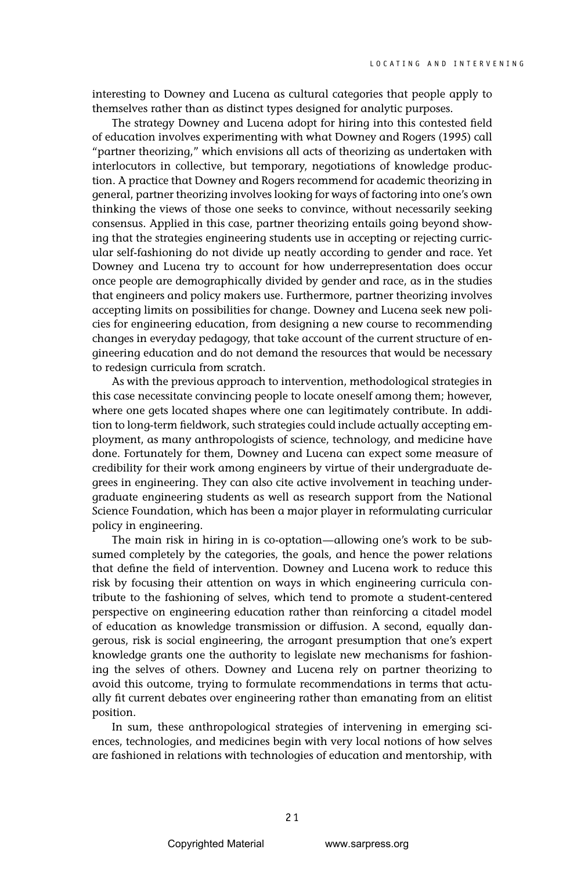interesting to Downey and Lucena as cultural categories that people apply to themselves rather than as distinct types designed for analytic purposes.

The strategy Downey and Lucena adopt for hiring into this contested field of education involves experimenting with what Downey and Rogers (1995) call "partner theorizing," which envisions all acts of theorizing as undertaken with interlocutors in collective, but temporary, negotiations of knowledge production. A practice that Downey and Rogers recommend for academic theorizing in general, partner theorizing involves looking for ways of factoring into one's own thinking the views of those one seeks to convince, without necessarily seeking consensus. Applied in this case, partner theorizing entails going beyond showing that the strategies engineering students use in accepting or rejecting curricular self-fashioning do not divide up neatly according to gender and race. Yet Downey and Lucena try to account for how underrepresentation does occur once people are demographically divided by gender and race, as in the studies that engineers and policy makers use. Furthermore, partner theorizing involves accepting limits on possibilities for change. Downey and Lucena seek new policies for engineering education, from designing a new course to recommending changes in everyday pedagogy, that take account of the current structure of engineering education and do not demand the resources that would be necessary to redesign curricula from scratch.

As with the previous approach to intervention, methodological strategies in this case necessitate convincing people to locate oneself among them; however, where one gets located shapes where one can legitimately contribute. In addition to long-term fieldwork, such strategies could include actually accepting employment, as many anthropologists of science, technology, and medicine have done. Fortunately for them, Downey and Lucena can expect some measure of credibility for their work among engineers by virtue of their undergraduate degrees in engineering. They can also cite active involvement in teaching undergraduate engineering students as well as research support from the National Science Foundation, which has been a major player in reformulating curricular policy in engineering.

The main risk in hiring in is co-optation—allowing one's work to be subsumed completely by the categories, the goals, and hence the power relations that define the field of intervention. Downey and Lucena work to reduce this risk by focusing their attention on ways in which engineering curricula contribute to the fashioning of selves, which tend to promote a student-centered perspective on engineering education rather than reinforcing a citadel model of education as knowledge transmission or diffusion. A second, equally dan gerous, risk is social engineering, the arrogant presumption that one's expert knowledge grants one the authority to legislate new mechanisms for fashioning the selves of others. Downey and Lucena rely on partner theorizing to avoid this outcome, trying to formulate recommendations in terms that actually fit current debates over engineering rather than emanating from an elitist position.

In sum, these anthropological strategies of intervening in emerging sciences, technologies, and medicines begin with very local notions of how selves are fashioned in relations with technologies of education and mentorship, with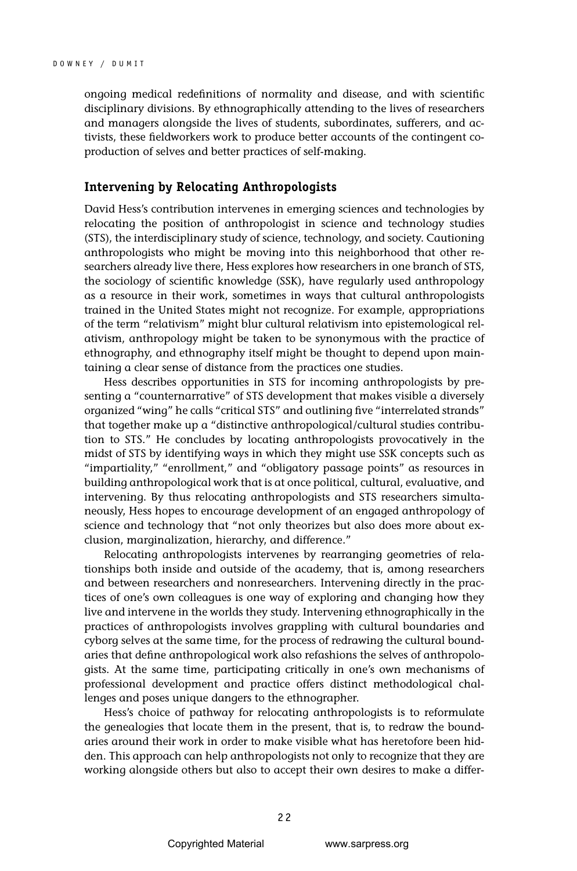ongoing medical redefinitions of normality and disease, and with scientific disciplinary divisions. By ethnographically attending to the lives of researchers and managers alongside the lives of students, subordinates, sufferers, and activists, these fieldworkers work to produce better accounts of the contingent coproduction of selves and better practices of self-making.

#### **Intervening by Relocating Anthropologists**

David Hess's contribution intervenes in emerging sciences and technologies by relocating the position of anthropologist in science and technology studies (STS), the interdisciplinary study of science, technology, and society. Cautioning anthropologists who might be moving into this neighborhood that other researchers already live there, Hess explores how researchers in one branch of STS, the sociology of scientific knowledge (SSK), have regularly used anthropology as a resource in their work, sometimes in ways that cultural anthropologists trained in the United States might not recognize. For example, appropriations of the term "relativism" might blur cultural relativism into epistemological relativism, anthropology might be taken to be synonymous with the practice of ethnography, and ethnography itself might be thought to depend upon maintaining a clear sense of distance from the practices one studies.

Hess describes opportunities in STS for incoming anthropologists by presenting a "counternarrative" of STS development that makes visible a diversely organized "wing" he calls "critical STS" and outlining five "interrelated strands" that together make up a "distinctive anthropological/cultural studies contribution to STS." He concludes by locating anthropologists provocatively in the midst of STS by identifying ways in which they might use SSK concepts such as "impartiality," "enrollment," and "obligatory passage points" as resources in building anthropological work that is at once political, cultural, evaluative, and intervening. By thus relocating anthropologists and STS researchers simulta neously, Hess hopes to encourage development of an engaged anthropology of science and technology that "not only theorizes but also does more about exclusion, marginalization, hierarchy, and difference."

Relocating anthropologists intervenes by rearranging geometries of relationships both inside and outside of the academy, that is, among researchers and between researchers and nonresearchers. Intervening directly in the practices of one's own colleagues is one way of exploring and changing how they live and intervene in the worlds they study. Intervening ethnographically in the practices of anthropologists involves grappling with cultural boundaries and cyborg selves at the same time, for the process of redrawing the cultural boundaries that define anthropological work also refashions the selves of anthropologists. At the same time, participating critically in one's own mechanisms of professional development and practice offers distinct methodological challenges and poses unique dangers to the ethnographer.

Hess's choice of pathway for relocating anthropologists is to reformulate the genealogies that locate them in the present, that is, to redraw the boundaries around their work in order to make visible what has heretofore been hidden. This approach can help anthropologists not only to recognize that they are working alongside others but also to accept their own desires to make a differ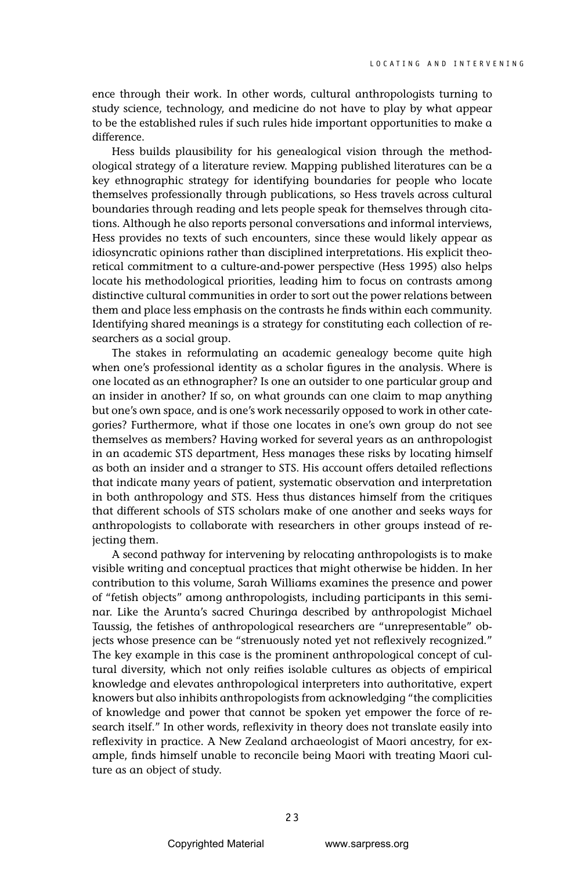ence through their work. In other words, cultural anthropologists turning to study science, technology, and medicine do not have to play by what appear to be the established rules if such rules hide important opportunities to make a difference.

Hess builds plausibility for his genealogical vision through the methodological strategy of a literature review. Mapping published literatures can be a key ethnographic strategy for identifying boundaries for people who locate themselves professionally through publications, so Hess travels across cultural boundaries through reading and lets people speak for themselves through citations. Although he also reports personal conversations and informal interviews, Hess provides no texts of such encounters, since these would likely appear as idiosyncratic opinions rather than disciplined interpretations. His explicit theoretical commitment to a culture-and-power perspective (Hess 1995) also helps locate his methodological priorities, leading him to focus on contrasts among distinctive cultural communities in order to sort out the power relations between them and place less emphasis on the contrasts he finds within each community. Identifying shared meanings is a strategy for constituting each collection of researchers as a social group.

The stakes in reformulating an academic genealogy become quite high when one's professional identity as a scholar figures in the analysis. Where is one located as an ethnographer? Is one an outsider to one particular group and an insider in another? If so, on what grounds can one claim to map anything but one's own space, and is one's work necessarily opposed to work in other cate gories? Furthermore, what if those one locates in one's own group do not see themselves as members? Having worked for several years as an anthropologist in an academic STS department, Hess manages these risks by locating himself as both an insider and a stranger to STS. His account offers detailed reflections that indicate many years of patient, systematic observation and interpretation in both anthropology and STS. Hess thus distances himself from the critiques that different schools of STS scholars make of one another and seeks ways for anthropologists to collaborate with researchers in other groups instead of rejecting them.

A second pathway for intervening by relocating anthropologists is to make visible writing and conceptual practices that might otherwise be hidden. In her contribution to this volume, Sarah Williams examines the presence and power of "fetish objects" among anthropologists, including participants in this seminar. Like the Arunta's sacred Churinga described by anthropologist Michael Taussig, the fetishes of anthropological researchers are "unrepresentable" objects whose presence can be "strenuously noted yet not reflexively recognized." The key example in this case is the prominent anthropological concept of cultural diversity, which not only reifies isolable cultures as objects of empirical knowledge and elevates anthropological interpreters into authoritative, expert knowers but also inhibits anthropologists from acknowledging "the complicities of knowledge and power that cannot be spoken yet empower the force of research itself." In other words, reflexivity in theory does not translate easily into reflexivity in practice. A New Zealand archaeologist of Maori ancestry, for example, finds himself unable to reconcile being Maori with treating Maori culture as an object of study.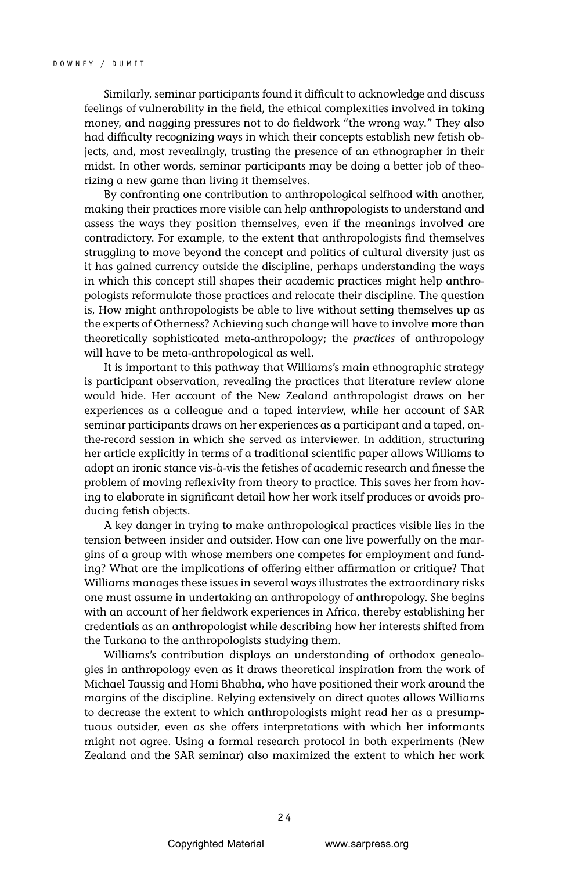Similarly, seminar participants found it difficult to acknowledge and discuss feelings of vulnerability in the field, the ethical complexities involved in taking money, and nagging pressures not to do fieldwork "the wrong way." They also had difficulty recognizing ways in which their concepts establish new fetish objects, and, most revealingly, trusting the presence of an ethnographer in their midst. In other words, seminar participants may be doing a better job of theorizing a new game than living it themselves.

By confronting one contribution to anthropological selfhood with another, making their practices more visible can help anthropologists to understand and assess the ways they position themselves, even if the meanings involved are contradictory. For example, to the extent that anthropologists find themselves struggling to move beyond the concept and politics of cultural diversity just as it has gained currency outside the discipline, perhaps understanding the ways in which this concept still shapes their academic practices might help anthropologists reformulate those practices and relocate their discipline. The question is, How might anthropologists be able to live without setting themselves up as the experts of Otherness? Achieving such change will have to involve more than theoretically sophisticated meta-anthropology; the *practices* of anthropology will have to be meta-anthropological as well.

It is important to this pathway that Williams's main ethnographic strategy is participant observation, revealing the practices that literature review alone would hide. Her account of the New Zealand anthropologist draws on her experiences as a colleague and a taped interview, while her account of SAR seminar participants draws on her experiences as a participant and a taped, onthe-record session in which she served as interviewer. In addition, structuring her article explicitly in terms of a traditional scientific paper allows Williams to adopt an ironic stance vis-à-vis the fetishes of academic research and finesse the problem of moving reflexivity from theory to practice. This saves her from having to elaborate in significant detail how her work itself produces or avoids producing fetish objects.

A key danger in trying to make anthropological practices visible lies in the tension between insider and outsider. How can one live powerfully on the margins of a group with whose members one competes for employment and funding? What are the implications of offering either affirmation or critique? That Williams manages these issues in several ways illustrates the extraordinary risks one must assume in undertaking an anthropology of anthropology. She begins with an account of her fieldwork experiences in Africa, thereby establishing her credentials as an anthropologist while describing how her interests shifted from the Turkana to the anthropologists studying them.

Williams's contribution displays an understanding of orthodox genealogies in anthropology even as it draws theoretical inspiration from the work of Michael Taussig and Homi Bhabha, who have positioned their work around the margins of the discipline. Relying extensively on direct quotes allows Williams to decrease the extent to which anthropologists might read her as a presumptuous outsider, even as she offers interpretations with which her informants might not agree. Using a formal research protocol in both experiments (New Zealand and the SAR seminar) also maximized the extent to which her work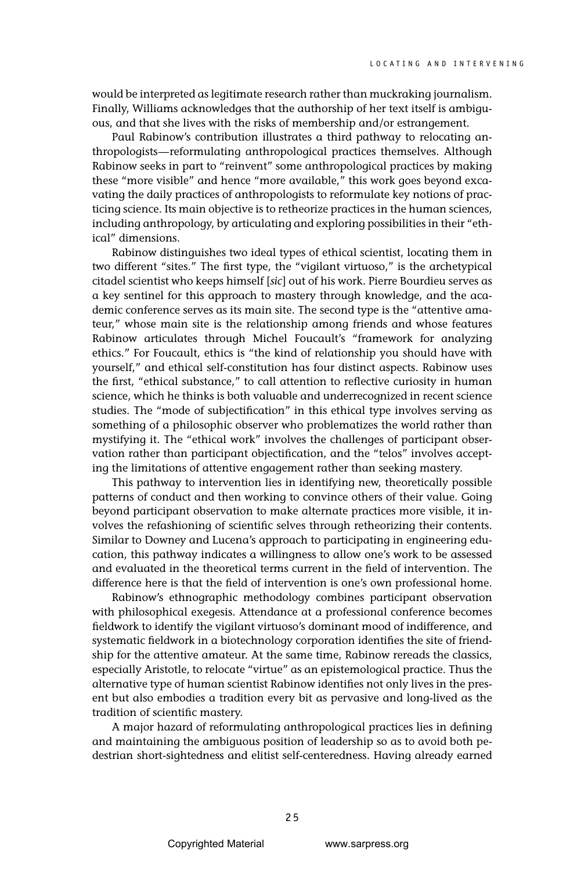would be interpreted as legitimate research rather than muckraking journalism. Finally, Williams acknowledges that the authorship of her text itself is ambiguous, and that she lives with the risks of membership and/or estrangement.

Paul Rabinow's contribution illustrates a third pathway to relocating anthropologists—reformulating anthropological practices themselves. Although Rabinow seeks in part to "reinvent" some anthropological practices by making these "more visible" and hence "more available," this work goes beyond excavating the daily practices of anthropologists to reformulate key notions of practicing science. Its main objective is to retheorize practices in the human sciences, including anthropology, by articulating and exploring possibilities in their "ethical" dimensions.

Rabinow distinguishes two ideal types of ethical scientist, locating them in two different "sites." The first type, the "vigilant virtuoso," is the archetypical citadel scientist who keeps himself [*sic*] out of his work. Pierre Bourdieu serves as a key sentinel for this approach to mastery through knowledge, and the academic conference serves as its main site. The second type is the "attentive amateur," whose main site is the relationship among friends and whose features Rabinow articulates through Michel Foucault's "framework for analyzing ethics." For Foucault, ethics is "the kind of relationship you should have with yourself," and ethical self-constitution has four distinct aspects. Rabinow uses the first, "ethical substance," to call attention to reflective curiosity in human science, which he thinks is both valuable and underrecognized in recent science studies. The "mode of subjectification" in this ethical type involves serving as something of a philosophic observer who problematizes the world rather than mystifying it. The "ethical work" involves the challenges of participant observation rather than participant objectification, and the "telos" involves accepting the limitations of attentive engagement rather than seeking mastery.

This pathway to intervention lies in identifying new, theoretically possible patterns of conduct and then working to convince others of their value. Going beyond participant observation to make alternate practices more visible, it involves the refashioning of scientific selves through retheorizing their contents. Similar to Downey and Lucena's approach to participating in engineering education, this pathway indicates a willingness to allow one's work to be assessed and evaluated in the theoretical terms current in the field of intervention. The difference here is that the field of intervention is one's own professional home.

Rabinow's ethnographic methodology combines participant observation with philosophical exegesis. Attendance at a professional conference becomes fieldwork to identify the vigilant virtuoso's dominant mood of indifference, and systematic fieldwork in a biotechnology corporation identifies the site of friendship for the attentive amateur. At the same time, Rabinow rereads the classics, especially Aristotle, to relocate "virtue" as an epistemological practice. Thus the alternative type of human scientist Rabinow identifies not only lives in the present but also embodies a tradition every bit as pervasive and long-lived as the tradition of scientific mastery.

A major hazard of reformulating anthropological practices lies in defining and maintaining the ambiguous position of leadership so as to avoid both pedestrian short-sightedness and elitist self-centeredness. Having already earned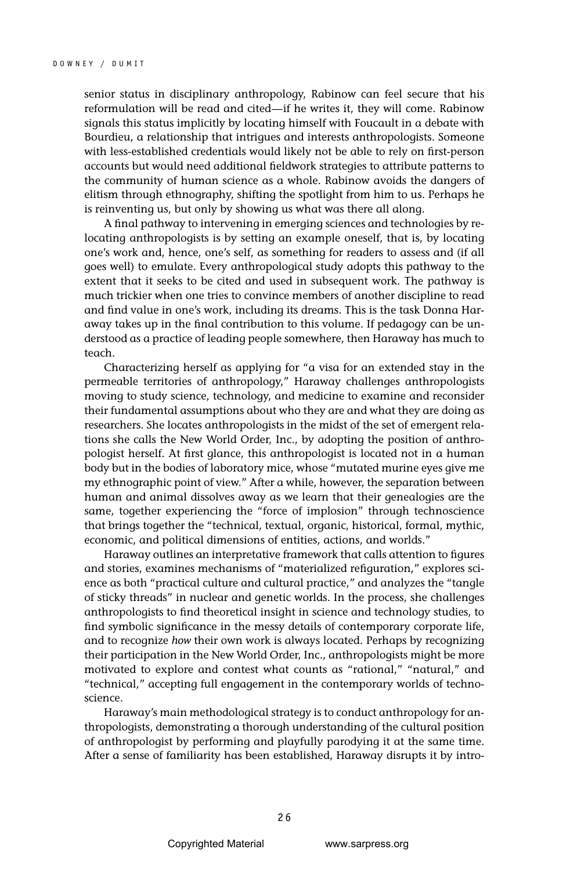senior status in disciplinary anthropology, Rabinow can feel secure that his reformulation will be read and cited—if he writes it, they will come. Rabinow signals this status implicitly by locating himself with Foucault in a debate with Bourdieu, a relationship that intrigues and interests anthropologists. Someone with less-established credentials would likely not be able to rely on first-person accounts but would need additional fieldwork strategies to attribute patterns to the community of human science as a whole. Rabinow avoids the dangers of elitism through ethnography, shifting the spotlight from him to us. Perhaps he is reinventing us, but only by showing us what was there all along.

A final pathway to intervening in emerging sciences and technologies by relocating anthropologists is by setting an example oneself, that is, by locating one's work and, hence, one's self, as something for readers to assess and (if all goes well) to emulate. Every anthropological study adopts this pathway to the extent that it seeks to be cited and used in subsequent work. The pathway is much trickier when one tries to convince members of another discipline to read and find value in one's work, including its dreams. This is the task Donna Haraway takes up in the final contribution to this volume. If pedagogy can be understood as a practice of leading people somewhere, then Haraway has much to teach.

Characterizing herself as applying for "a visa for an extended stay in the permeable territories of anthropology," Haraway challenges anthropologists moving to study science, technology, and medicine to examine and reconsider their fundamental assumptions about who they are and what they are doing as researchers. She locates anthropologists in the midst of the set of emergent relations she calls the New World Order, Inc., by adopting the position of anthropologist herself. At first glance, this anthropologist is located not in a human body but in the bodies of laboratory mice, whose "mutated murine eyes give me my ethnographic point of view." After a while, however, the separation between human and animal dissolves away as we learn that their genealogies are the same, together experiencing the "force of implosion" through technoscience that brings together the "technical, textual, organic, historical, formal, mythic, economic, and political dimensions of entities, actions, and worlds."

Haraway outlines an interpretative framework that calls attention to figures and stories, examines mechanisms of "materialized refiguration," explores science as both "practical culture and cultural practice," and analyzes the "tangle of sticky threads" in nuclear and genetic worlds. In the process, she challenges anthropologists to find theoretical insight in science and technology studies, to find symbolic significance in the messy details of contemporary corporate life, and to recognize *how* their own work is always located. Perhaps by recognizing their participation in the New World Order, Inc., anthropologists might be more motivated to explore and contest what counts as "rational," "natural," and "technical," accepting full engagement in the contemporary worlds of technoscience.

Haraway's main methodological strategy is to conduct anthropology for anthropologists, demonstrating a thorough understanding of the cultural position of anthropologist by performing and playfully parodying it at the same time. After a sense of familiarity has been established, Haraway disrupts it by intro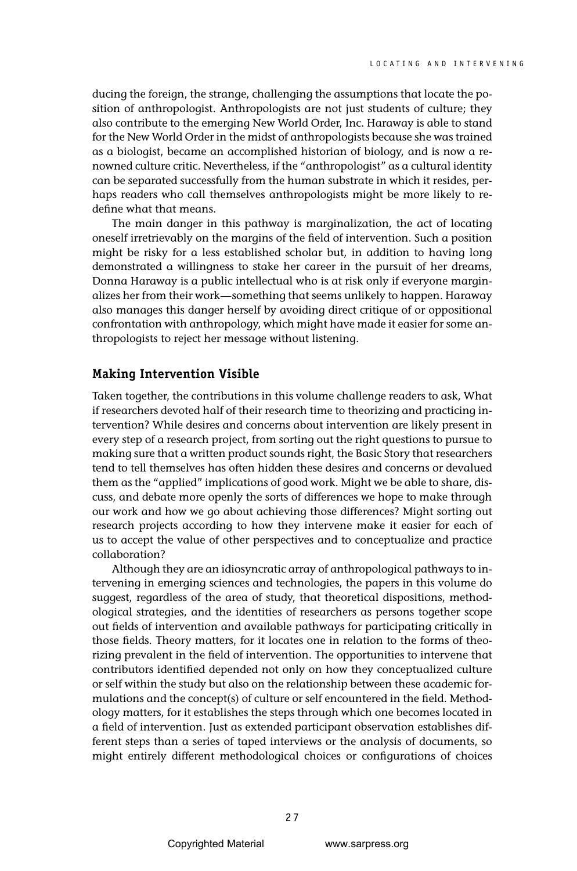ducing the foreign, the strange, challenging the assumptions that locate the position of anthropologist. Anthropologists are not just students of culture; they also contribute to the emerging New World Order, Inc. Haraway is able to stand for the New World Order in the midst of anthropologists because she was trained as a biologist, became an accomplished historian of biology, and is now a renowned culture critic. Nevertheless, if the "anthropologist" as a cultural identity can be separated successfully from the human substrate in which it resides, perhaps readers who call themselves anthropologists might be more likely to redefine what that means.

The main danger in this pathway is marginalization, the act of locating oneself irretrievably on the margins of the field of intervention. Such a position might be risky for a less established scholar but, in addition to having long demonstrated a willingness to stake her career in the pursuit of her dreams, Donna Haraway is a public intellectual who is at risk only if everyone marginalizes her from their work—something that seems unlikely to happen. Haraway also manages this danger herself by avoiding direct critique of or oppositional confrontation with anthropology, which might have made it easier for some anthropologists to reject her message without listening.

## **Making Intervention Visible**

Taken together, the contributions in this volume challenge readers to ask, What if researchers devoted half of their research time to theorizing and practicing intervention? While desires and concerns about intervention are likely present in every step of a research project, from sorting out the right questions to pursue to making sure that a written product sounds right, the Basic Story that researchers tend to tell themselves has often hidden these desires and concerns or devalued them as the "applied" implications of good work. Might we be able to share, discuss, and debate more openly the sorts of differences we hope to make through our work and how we go about achieving those differences? Might sorting out research projects according to how they intervene make it easier for each of us to accept the value of other perspectives and to conceptualize and practice collaboration?

Although they are an idiosyncratic array of anthropological pathways to intervening in emerging sciences and technologies, the papers in this volume do suggest, regardless of the area of study, that theoretical dispositions, methodological strategies, and the identities of researchers as persons together scope out fields of intervention and available pathways for participating critically in those fields. Theory matters, for it locates one in relation to the forms of theorizing prevalent in the field of intervention. The opportunities to intervene that contributors identified depended not only on how they conceptualized culture or self within the study but also on the relationship between these academic formulations and the concept(s) of culture or self encountered in the field. Methodology matters, for it establishes the steps through which one becomes located in a field of intervention. Just as extended participant observation establishes different steps than a series of taped interviews or the analysis of documents, so might entirely different methodological choices or configurations of choices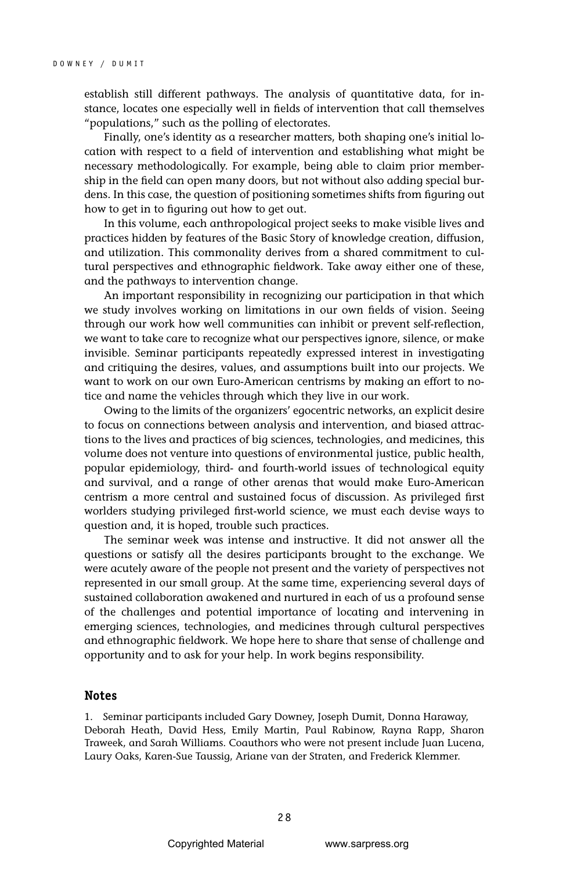establish still different pathways. The analysis of quantitative data, for instance, locates one especially well in fields of intervention that call themselves "populations," such as the polling of electorates.

Finally, one's identity as a researcher matters, both shaping one's initial location with respect to a field of intervention and establishing what might be necessary methodologically. For example, being able to claim prior membership in the field can open many doors, but not without also adding special burdens. In this case, the question of positioning sometimes shifts from figuring out how to get in to figuring out how to get out.

In this volume, each anthropological project seeks to make visible lives and practices hidden by features of the Basic Story of knowledge creation, diffusion, and utilization. This commonality derives from a shared commitment to cultural perspectives and ethnographic fieldwork. Take away either one of these, and the pathways to intervention change.

An important responsibility in recognizing our participation in that which we study involves working on limitations in our own fields of vision. Seeing through our work how well communities can inhibit or prevent self-reflection, we want to take care to recognize what our perspectives ignore, silence, or make invisible. Seminar participants repeatedly expressed interest in investigating and critiquing the desires, values, and assumptions built into our projects. We want to work on our own Euro-American centrisms by making an effort to notice and name the vehicles through which they live in our work.

Owing to the limits of the organizers' egocentric networks, an explicit desire to focus on connections between analysis and intervention, and biased attractions to the lives and practices of big sciences, technologies, and medicines, this volume does not venture into questions of environmental justice, public health, popular epidemiology, third- and fourth-world issues of technological equity and survival, and a range of other arenas that would make Euro-American centrism a more central and sustained focus of discussion. As privileged first worlders studying privileged first-world science, we must each devise ways to question and, it is hoped, trouble such practices.

The seminar week was intense and instructive. It did not answer all the questions or satisfy all the desires participants brought to the exchange. We were acutely aware of the people not present and the variety of perspectives not represented in our small group. At the same time, experiencing several days of sustained collaboration awakened and nurtured in each of us a profound sense of the challenges and potential importance of locating and intervening in emerging sciences, technologies, and medicines through cultural perspectives and ethnographic fieldwork. We hope here to share that sense of challenge and opportunity and to ask for your help. In work begins responsibility.

#### **Notes**

1. Seminar participants included Gary Downey, Joseph Dumit, Donna Haraway, Deborah Heath, David Hess, Emily Martin, Paul Rabinow, Rayna Rapp, Sharon Traweek, and Sarah Williams. Coauthors who were not present include Juan Lucena, Laury Oaks, Karen-Sue Taussig, Ariane van der Straten, and Frederick Klemmer.